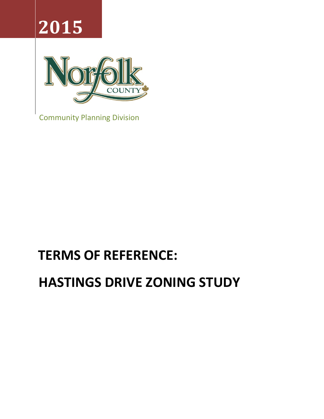# **2015**



Community Planning Division

## **TERMS OF REFERENCE:**

## **HASTINGS DRIVE ZONING STUDY**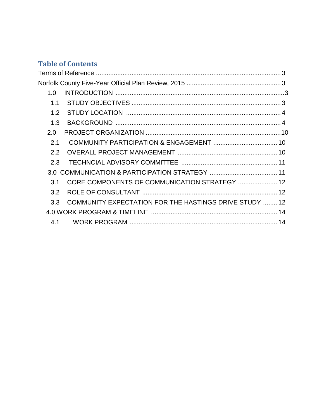### **Table of Contents**

| 1.0             |                                                        |  |  |
|-----------------|--------------------------------------------------------|--|--|
| 1.1             |                                                        |  |  |
| 1.2             |                                                        |  |  |
| 1.3             |                                                        |  |  |
| 2.0             |                                                        |  |  |
| 2.1             |                                                        |  |  |
| 2.2             |                                                        |  |  |
| 2.3             |                                                        |  |  |
| 3 O             |                                                        |  |  |
| $\overline{3}1$ | CORE COMPONENTS OF COMMUNICATION STRATEGY  12          |  |  |
| 3.2             |                                                        |  |  |
| 3.3             | COMMUNITY EXPECTATION FOR THE HASTINGS DRIVE STUDY  12 |  |  |
|                 |                                                        |  |  |
| 4.1             |                                                        |  |  |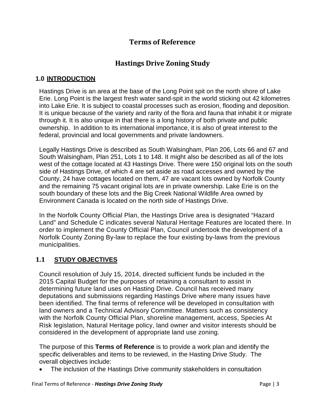#### **Terms of Reference**

#### **Hastings Drive Zoning Study**

#### <span id="page-2-2"></span><span id="page-2-1"></span><span id="page-2-0"></span>**1.0 INTRODUCTION**

Hastings Drive is an area at the base of the Long Point spit on the north shore of Lake Erie. Long Point is the largest fresh water sand-spit in the world sticking out 42 kilometres into Lake Erie. It is subject to coastal processes such as erosion, flooding and deposition. It is unique because of the variety and rarity of the flora and fauna that inhabit it or migrate through it. It is also unique in that there is a long history of both private and public ownership. In addition to its international importance, it is also of great interest to the federal, provincial and local governments and private landowners.

Legally Hastings Drive is described as South Walsingham, Plan 206, Lots 66 and 67 and South Walsingham, Plan 251, Lots 1 to 148. It might also be described as all of the lots west of the cottage located at 43 Hastings Drive. There were 150 original lots on the south side of Hastings Drive, of which 4 are set aside as road accesses and owned by the County, 24 have cottages located on them, 47 are vacant lots owned by Norfolk County and the remaining 75 vacant original lots are in private ownership. Lake Erie is on the south boundary of these lots and the Big Creek National Wildlife Area owned by Environment Canada is located on the north side of Hastings Drive.

In the Norfolk County Official Plan, the Hastings Drive area is designated "Hazard Land" and Schedule C indicates several Natural Heritage Features are located there. In order to implement the County Official Plan, Council undertook the development of a Norfolk County Zoning By-law to replace the four existing by-laws from the previous municipalities.

#### <span id="page-2-3"></span>**1.1 STUDY OBJECTIVES**

Council resolution of July 15, 2014, directed sufficient funds be included in the 2015 Capital Budget for the purposes of retaining a consultant to assist in determining future land uses on Hasting Drive. Council has received many deputations and submissions regarding Hastings Drive where many issues have been identified. The final terms of reference will be developed in consultation with land owners and a Technical Advisory Committee. Matters such as consistency with the Norfolk County Official Plan, shoreline management, access, Species At Risk legislation, Natural Heritage policy, land owner and visitor interests should be considered in the development of appropriate land use zoning.

The purpose of this **Terms of Reference** is to provide a work plan and identify the specific deliverables and items to be reviewed, in the Hasting Drive Study. The overall objectives include:

The inclusion of the Hastings Drive community stakeholders in consultation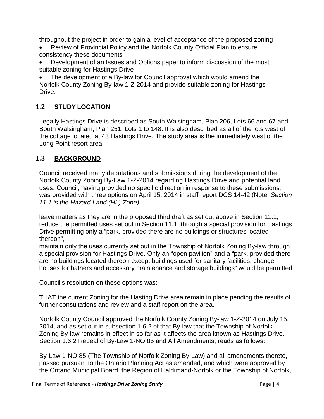throughout the project in order to gain a level of acceptance of the proposed zoning

- Review of Provincial Policy and the Norfolk County Official Plan to ensure consistency these documents
- Development of an Issues and Options paper to inform discussion of the most suitable zoning for Hastings Drive

The development of a By-law for Council approval which would amend the Norfolk County Zoning By-law 1-Z-2014 and provide suitable zoning for Hastings Drive.

#### <span id="page-3-0"></span>**1.2 STUDY LOCATION**

Legally Hastings Drive is described as South Walsingham, Plan 206, Lots 66 and 67 and South Walsingham, Plan 251, Lots 1 to 148. It is also described as all of the lots west of the cottage located at 43 Hastings Drive. The study area is the immediately west of the Long Point resort area.

#### <span id="page-3-1"></span>**1.3 BACKGROUND**

Council received many deputations and submissions during the development of the Norfolk County Zoning By-Law 1-Z-2014 regarding Hastings Drive and potential land uses. Council, having provided no specific direction in response to these submissions, was provided with three options on April 15, 2014 in staff report DCS 14-42 (Note: *Section 11.1 is the Hazard Land (HL) Zone)*;

leave matters as they are in the proposed third draft as set out above in Section 11.1, reduce the permitted uses set out in Section 11.1, through a special provision for Hastings Drive permitting only a "park, provided there are no buildings or structures located thereon",

maintain only the uses currently set out in the Township of Norfolk Zoning By-law through a special provision for Hastings Drive. Only an "open pavilion" and a "park, provided there are no buildings located thereon except buildings used for sanitary facilities, change houses for bathers and accessory maintenance and storage buildings" would be permitted

Council's resolution on these options was;

THAT the current Zoning for the Hasting Drive area remain in place pending the results of further consultations and review and a staff report on the area.

Norfolk County Council approved the Norfolk County Zoning By-law 1-Z-2014 on July 15, 2014, and as set out in subsection 1.6.2 of that By-law that the Township of Norfolk Zoning By-law remains in effect in so far as it affects the area known as Hastings Drive. Section 1.6.2 Repeal of By-Law 1-NO 85 and All Amendments, reads as follows:

By-Law 1-NO 85 (The Township of Norfolk Zoning By-Law) and all amendments thereto, passed pursuant to the Ontario Planning Act as amended, and which were approved by the Ontario Municipal Board, the Region of Haldimand-Norfolk or the Township of Norfolk,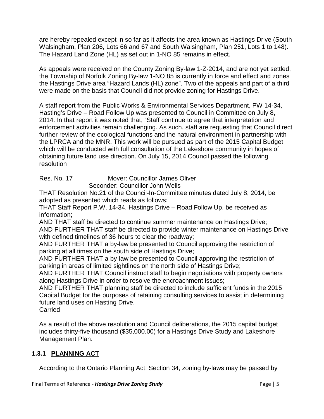are hereby repealed except in so far as it affects the area known as Hastings Drive (South Walsingham, Plan 206, Lots 66 and 67 and South Walsingham, Plan 251, Lots 1 to 148). The Hazard Land Zone (HL) as set out in 1-NO 85 remains in effect.

As appeals were received on the County Zoning By-law 1-Z-2014, and are not yet settled, the Township of Norfolk Zoning By-law 1-NO 85 is currently in force and effect and zones the Hastings Drive area "Hazard Lands (HL) zone". Two of the appeals and part of a third were made on the basis that Council did not provide zoning for Hastings Drive.

A staff report from the Public Works & Environmental Services Department, PW 14-34, Hasting's Drive – Road Follow Up was presented to Council in Committee on July 8, 2014. In that report it was noted that, "Staff continue to agree that interpretation and enforcement activities remain challenging. As such, staff are requesting that Council direct further review of the ecological functions and the natural environment in partnership with the LPRCA and the MNR. This work will be pursued as part of the 2015 Capital Budget which will be conducted with full consultation of the Lakeshore community in hopes of obtaining future land use direction. On July 15, 2014 Council passed the following resolution

Res. No. 17 Mover: Councillor James Oliver Seconder: Councillor John Wells

THAT Resolution No.21 of the Council-In-Committee minutes dated July 8, 2014, be adopted as presented which reads as follows:

THAT Staff Report P.W. 14-34, Hastings Drive – Road Follow Up, be received as information;

AND THAT staff be directed to continue summer maintenance on Hastings Drive; AND FURTHER THAT staff be directed to provide winter maintenance on Hastings Drive with defined timelines of 36 hours to clear the roadway;

AND FURTHER THAT a by-law be presented to Council approving the restriction of parking at all times on the south side of Hastings Drive;

AND FURTHER THAT a by-law be presented to Council approving the restriction of parking in areas of limited sightlines on the north side of Hastings Drive;

AND FURTHER THAT Council instruct staff to begin negotiations with property owners along Hastings Drive in order to resolve the encroachment issues;

AND FURTHER THAT planning staff be directed to include sufficient funds in the 2015 Capital Budget for the purposes of retaining consulting services to assist in determining future land uses on Hasting Drive.

**Carried** 

As a result of the above resolution and Council deliberations, the 2015 capital budget includes thirty-five thousand (\$35,000.00) for a Hastings Drive Study and Lakeshore Management Plan.

#### **1.3.1 PLANNING ACT**

According to the Ontario Planning Act, Section 34, zoning by-laws may be passed by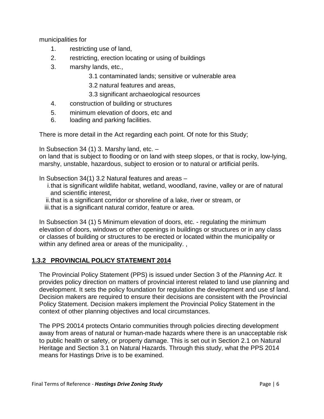municipalities for

- 1. restricting use of land,
- 2. restricting, erection locating or using of buildings
- 3. marshy lands, etc.,
	- 3.1 contaminated lands; sensitive or vulnerable area
	- 3.2 natural features and areas,
	- 3.3 significant archaeological resources
- 4. construction of building or structures
- 5. minimum elevation of doors, etc and
- 6. loading and parking facilities.

There is more detail in the Act regarding each point. Of note for this Study;

In Subsection 34 (1) 3. Marshy land, etc. –

on land that is subject to flooding or on land with steep slopes, or that is rocky, low-lying, marshy, unstable, hazardous, subject to erosion or to natural or artificial perils.

In Subsection 34(1) 3.2 Natural features and areas –

- i.that is significant wildlife habitat, wetland, woodland, ravine, valley or are of natural and scientific interest,
- ii.that is a significant corridor or shoreline of a lake, river or stream, or
- iii.that is a significant natural corridor, feature or area.

In Subsection 34 (1) 5 Minimum elevation of doors, etc. - regulating the minimum elevation of doors, windows or other openings in buildings or structures or in any class or classes of building or structures to be erected or located within the municipality or within any defined area or areas of the municipality. ,

#### **1.3.2 PROVINCIAL POLICY STATEMENT 2014**

The Provincial Policy Statement (PPS) is issued under Section 3 of the *Planning Act*. It provides policy direction on matters of provincial interest related to land use planning and development. It sets the policy foundation for regulation the development and use sf land. Decision makers are required to ensure their decisions are consistent with the Provincial Policy Statement. Decision makers implement the Provincial Policy Statement in the context of other planning objectives and local circumstances.

The PPS 20014 protects Ontario communities through policies directing development away from areas of natural or human-made hazards where there is an unacceptable risk to public health or safety, or property damage. This is set out in Section 2.1 on Natural Heritage and Section 3.1 on Natural Hazards. Through this study, what the PPS 2014 means for Hastings Drive is to be examined.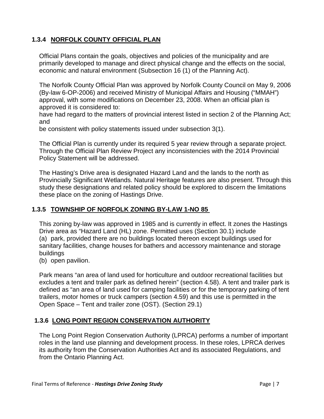#### **1.3.4 NORFOLK COUNTY OFFICIAL PLAN**

Official Plans contain the goals, objectives and policies of the municipality and are primarily developed to manage and direct physical change and the effects on the social, economic and natural environment (Subsection 16 (1) of the Planning Act).

The Norfolk County Official Plan was approved by Norfolk County Council on May 9, 2006 (By-law 6-OP-2006) and received Ministry of Municipal Affairs and Housing ("MMAH") approval, with some modifications on December 23, 2008. When an official plan is approved it is considered to:

have had regard to the matters of provincial interest listed in section 2 of the Planning Act; and

be consistent with policy statements issued under subsection 3(1).

The Official Plan is currently under its required 5 year review through a separate project. Through the Official Plan Review Project any inconsistencies with the 2014 Provincial Policy Statement will be addressed.

The Hasting's Drive area is designated Hazard Land and the lands to the north as Provincially Significant Wetlands. Natural Heritage features are also present. Through this study these designations and related policy should be explored to discern the limitations these place on the zoning of Hastings Drive.

#### **1.3.5 TOWNSHIP OF NORFOLK ZONING BY-LAW 1-NO 85**

This zoning by-law was approved in 1985 and is currently in effect. It zones the Hastings Drive area as "Hazard Land (HL) zone. Permitted uses (Section 30.1) include (a) park, provided there are no buildings located thereon except buildings used for sanitary facilities, change houses for bathers and accessory maintenance and storage buildings

(b) open pavilion.

Park means "an area of land used for horticulture and outdoor recreational facilities but excludes a tent and trailer park as defined herein" (section 4.58). A tent and trailer park is defined as "an area of land used for camping facilities or for the temporary parking of tent trailers, motor homes or truck campers (section 4.59) and this use is permitted in the Open Space – Tent and trailer zone (OST). (Section 29.1)

#### **1.3.6 LONG POINT REGION CONSERVATION AUTHORITY**

The Long Point Region Conservation Authority (LPRCA) performs a number of important roles in the land use planning and development process. In these roles, LPRCA derives its authority from the Conservation Authorities Act and its associated Regulations, and from the Ontario Planning Act.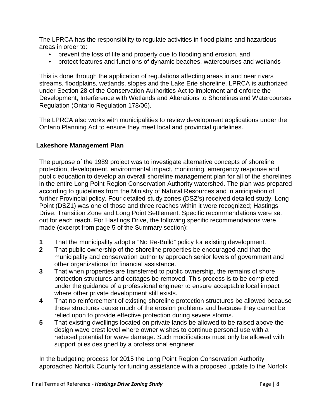The LPRCA has the responsibility to regulate activities in flood plains and hazardous areas in order to:

- prevent the loss of life and property due to flooding and erosion, and
- protect features and functions of dynamic beaches, watercourses and wetlands

This is done through the application of regulations affecting areas in and near rivers streams, floodplains, wetlands, slopes and the Lake Erie shoreline. LPRCA is authorized under Section 28 of the Conservation Authorities Act to implement and enforce the Development, Interference with Wetlands and Alterations to Shorelines and Watercourses Regulation (Ontario Regulation 178/06).

The LPRCA also works with municipalities to review development applications under the Ontario Planning Act to ensure they meet local and provincial guidelines.

#### **Lakeshore Management Plan**

The purpose of the 1989 project was to investigate alternative concepts of shoreline protection, development, environmental impact, monitoring, emergency response and public education to develop an overall shoreline management plan for all of the shorelines in the entire Long Point Region Conservation Authority watershed. The plan was prepared according to guidelines from the Ministry of Natural Resources and in anticipation of further Provincial policy. Four detailed study zones (DSZ's) received detailed study. Long Point (DSZ1) was one of those and three reaches within it were recognized; Hastings Drive, Transition Zone and Long Point Settlement. Specific recommendations were set out for each reach. For Hastings Drive, the following specific recommendations were made (excerpt from page 5 of the Summary section):

- **1** That the municipality adopt a "No Re-Build" policy for existing development.<br>**2** That public ownership of the shoreline properties be encouraged and that th
- **2** That public ownership of the shoreline properties be encouraged and that the municipality and conservation authority approach senior levels of government and other organizations for financial assistance.
- **3** That when properties are transferred to public ownership, the remains of shore protection structures and cottages be removed. This process is to be completed under the guidance of a professional engineer to ensure acceptable local impact where other private development still exists.
- **4** That no reinforcement of existing shoreline protection structures be allowed because these structures cause much of the erosion problems and because they cannot be relied upon to provide effective protection during severe storms.
- **5** That existing dwellings located on private lands be allowed to be raised above the design wave crest level where owner wishes to continue personal use with a reduced potential for wave damage. Such modifications must only be allowed with support piles designed by a professional engineer.

In the budgeting process for 2015 the Long Point Region Conservation Authority approached Norfolk County for funding assistance with a proposed update to the Norfolk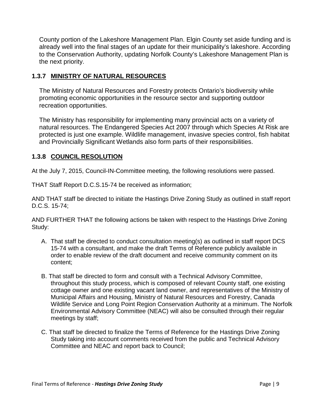County portion of the Lakeshore Management Plan. Elgin County set aside funding and is already well into the final stages of an update for their municipality's lakeshore. According to the Conservation Authority, updating Norfolk County's Lakeshore Management Plan is the next priority.

#### **1.3.7 MINISTRY OF NATURAL RESOURCES**

The Ministry of Natural Resources and Forestry protects Ontario's biodiversity while promoting economic opportunities in the resource sector and supporting outdoor recreation opportunities.

The Ministry has responsibility for implementing many provincial acts on a variety of natural resources. The Endangered Species Act 2007 through which Species At Risk are protected is just one example. Wildlife management, invasive species control, fish habitat and Provincially Significant Wetlands also form parts of their responsibilities.

#### **1.3.8 COUNCIL RESOLUTION**

At the July 7, 2015, Council-IN-Committee meeting, the following resolutions were passed.

THAT Staff Report D.C.S.15-74 be received as information;

AND THAT staff be directed to initiate the Hastings Drive Zoning Study as outlined in staff report D.C.S. 15-74;

AND FURTHER THAT the following actions be taken with respect to the Hastings Drive Zoning Study:

- A. That staff be directed to conduct consultation meeting(s) as outlined in staff report DCS 15-74 with a consultant, and make the draft Terms of Reference publicly available in order to enable review of the draft document and receive community comment on its content;
- B. That staff be directed to form and consult with a Technical Advisory Committee, throughout this study process, which is composed of relevant County staff, one existing cottage owner and one existing vacant land owner, and representatives of the Ministry of Municipal Affairs and Housing, Ministry of Natural Resources and Forestry, Canada Wildlife Service and Long Point Region Conservation Authority at a minimum. The Norfolk Environmental Advisory Committee (NEAC) will also be consulted through their regular meetings by staff;
- C. That staff be directed to finalize the Terms of Reference for the Hastings Drive Zoning Study taking into account comments received from the public and Technical Advisory Committee and NEAC and report back to Council;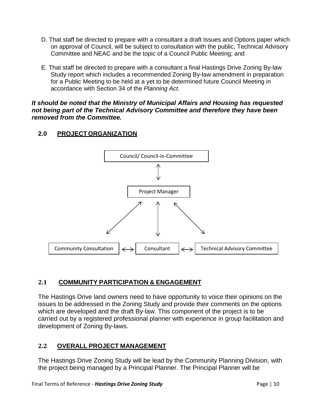- D. That staff be directed to prepare with a consultant a draft Issues and Options paper which on approval of Council, will be subject to consultation with the public, Technical Advisory Committee and NEAC and be the topic of a Council Public Meeting; and
- E. That staff be directed to prepare with a consultant a final Hastings Drive Zoning By-law Study report which includes a recommended Zoning By-law amendment in preparation for a Public Meeting to be held at a yet to be determined future Council Meeting in accordance with Section 34 of the *Planning Act*.

*It should be noted that the Ministry of Municipal Affairs and Housing has requested not being part of the Technical Advisory Committee and therefore they have been removed from the Committee.* 

#### <span id="page-9-0"></span>**2.0 PROJECT ORGANIZATION**



#### <span id="page-9-1"></span>**2.1 COMMUNITY PARTICIPATION & ENGAGEMENT**

The Hastings Drive land owners need to have opportunity to voice their opinions on the issues to be addressed in the Zoning Study and provide their comments on the options which are developed and the draft By-law. This component of the project is to be carried out by a registered professional planner with experience in group facilitation and development of Zoning By-laws.

#### <span id="page-9-2"></span>**2.2 OVERALL PROJECT MANAGEMENT**

The Hastings Drive Zoning Study will be lead by the Community Planning Division, with the project being managed by a Principal Planner. The Principal Planner will be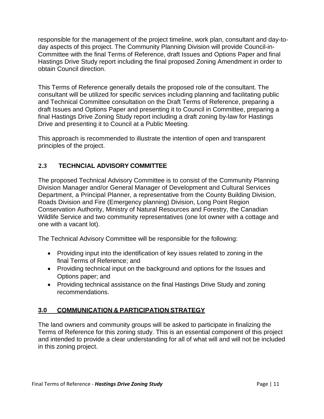responsible for the management of the project timeline, work plan, consultant and day-today aspects of this project. The Community Planning Division will provide Council-in-Committee with the final Terms of Reference, draft Issues and Options Paper and final Hastings Drive Study report including the final proposed Zoning Amendment in order to obtain Council direction.

This Terms of Reference generally details the proposed role of the consultant. The consultant will be utilized for specific services including planning and facilitating public and Technical Committee consultation on the Draft Terms of Reference, preparing a draft Issues and Options Paper and presenting it to Council in Committee, preparing a final Hastings Drive Zoning Study report including a draft zoning by-law for Hastings Drive and presenting it to Council at a Public Meeting.

This approach is recommended to illustrate the intention of open and transparent principles of the project.

#### <span id="page-10-0"></span>**2.3 TECHNCIAL ADVISORY COMMITTEE**

The proposed Technical Advisory Committee is to consist of the Community Planning Division Manager and/or General Manager of Development and Cultural Services Department, a Principal Planner, a representative from the County Building Division, Roads Division and Fire (Emergency planning) Division, Long Point Region Conservation Authority, Ministry of Natural Resources and Forestry, the Canadian Wildlife Service and two community representatives (one lot owner with a cottage and one with a vacant lot).

The Technical Advisory Committee will be responsible for the following:

- Providing input into the identification of key issues related to zoning in the final Terms of Reference; and
- Providing technical input on the background and options for the Issues and Options paper; and
- Providing technical assistance on the final Hastings Drive Study and zoning recommendations.

#### <span id="page-10-1"></span>**3.0 COMMUNICATION & PARTICIPATION STRATEGY**

The land owners and community groups will be asked to participate in finalizing the Terms of Reference for this zoning study. This is an essential component of this project and intended to provide a clear understanding for all of what will and will not be included in this zoning project.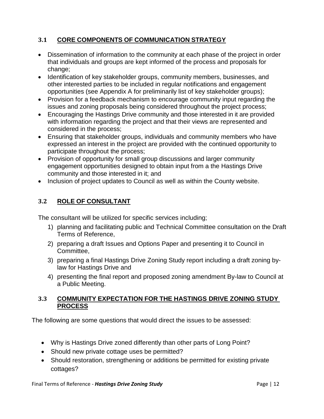#### <span id="page-11-0"></span>**3.1 CORE COMPONENTS OF COMMUNICATION STRATEGY**

- Dissemination of information to the community at each phase of the project in order that individuals and groups are kept informed of the process and proposals for change;
- Identification of key stakeholder groups, community members, businesses, and other interested parties to be included in regular notifications and engagement opportunities (see Appendix A for preliminarily list of key stakeholder groups);
- Provision for a feedback mechanism to encourage community input regarding the issues and zoning proposals being considered throughout the project process;
- Encouraging the Hastings Drive community and those interested in it are provided with information regarding the project and that their views are represented and considered in the process;
- Ensuring that stakeholder groups, individuals and community members who have expressed an interest in the project are provided with the continued opportunity to participate throughout the process;
- Provision of opportunity for small group discussions and larger community engagement opportunities designed to obtain input from a the Hastings Drive community and those interested in it; and
- Inclusion of project updates to Council as well as within the County website.

#### <span id="page-11-1"></span>**3.2 ROLE OF CONSULTANT**

The consultant will be utilized for specific services including;

- 1) planning and facilitating public and Technical Committee consultation on the Draft Terms of Reference,
- 2) preparing a draft Issues and Options Paper and presenting it to Council in Committee,
- 3) preparing a final Hastings Drive Zoning Study report including a draft zoning bylaw for Hastings Drive and
- 4) presenting the final report and proposed zoning amendment By-law to Council at a Public Meeting.

#### <span id="page-11-2"></span>**3.3 COMMUNITY EXPECTATION FOR THE HASTINGS DRIVE ZONING STUDY PROCESS**

The following are some questions that would direct the issues to be assessed:

- Why is Hastings Drive zoned differently than other parts of Long Point?
- Should new private cottage uses be permitted?
- Should restoration, strengthening or additions be permitted for existing private cottages?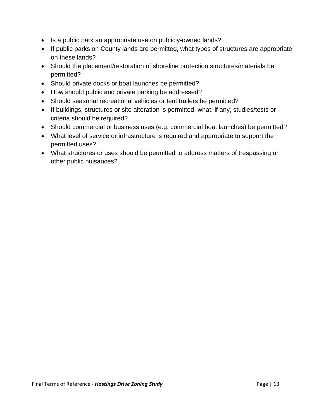- Is a public park an appropriate use on publicly-owned lands?
- If public parks on County lands are permitted, what types of structures are appropriate on these lands?
- Should the placement/restoration of shoreline protection structures/materials be permitted?
- Should private docks or boat launches be permitted?
- How should public and private parking be addressed?
- Should seasonal recreational vehicles or tent trailers be permitted?
- If buildings, structures or site alteration is permitted, what, if any, studies/tests or criteria should be required?
- Should commercial or business uses (e.g. commercial boat launches) be permitted?
- What level of service or infrastructure is required and appropriate to support the permitted uses?
- What structures or uses should be permitted to address matters of trespassing or other public nuisances?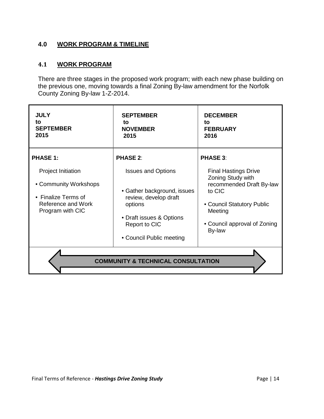#### <span id="page-13-0"></span>**4.0 WORK PROGRAM & TIMELINE**

#### <span id="page-13-1"></span>**4.1 WORK PROGRAM**

There are three stages in the proposed work program; with each new phase building on the previous one, moving towards a final Zoning By-law amendment for the Norfolk County Zoning By-law 1-Z-2014.

| <b>JULY</b><br>to<br><b>SEPTEMBER</b><br>2015                                                                       | <b>SEPTEMBER</b><br>to<br><b>NOVEMBER</b><br>2015                                                                                                                     | <b>DECEMBER</b><br>to<br><b>FEBRUARY</b><br>2016                                                                                                                          |  |  |
|---------------------------------------------------------------------------------------------------------------------|-----------------------------------------------------------------------------------------------------------------------------------------------------------------------|---------------------------------------------------------------------------------------------------------------------------------------------------------------------------|--|--|
| <b>PHASE 1:</b>                                                                                                     | <b>PHASE 2:</b>                                                                                                                                                       | <b>PHASE 3:</b>                                                                                                                                                           |  |  |
| <b>Project Initiation</b><br>• Community Workshops<br>• Finalize Terms of<br>Reference and Work<br>Program with CIC | <b>Issues and Options</b><br>• Gather background, issues<br>review, develop draft<br>options<br>• Draft issues & Options<br>Report to CIC<br>• Council Public meeting | <b>Final Hastings Drive</b><br>Zoning Study with<br>recommended Draft By-law<br>to CIC<br>• Council Statutory Public<br>Meeting<br>• Council approval of Zoning<br>By-law |  |  |
| <b>COMMUNITY &amp; TECHNICAL CONSULTATION</b>                                                                       |                                                                                                                                                                       |                                                                                                                                                                           |  |  |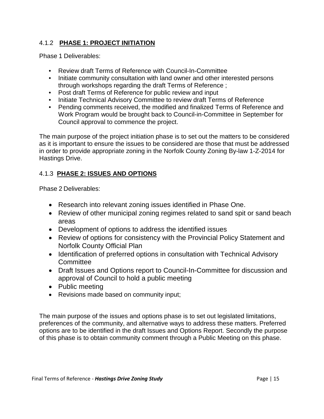#### 4.1.2 **PHASE 1: PROJECT INITIATION**

Phase 1 Deliverables:

- Review draft Terms of Reference with Council-In-Committee
- Initiate community consultation with land owner and other interested persons through workshops regarding the draft Terms of Reference ;
- Post draft Terms of Reference for public review and input
- Initiate Technical Advisory Committee to review draft Terms of Reference
- Pending comments received, the modified and finalized Terms of Reference and Work Program would be brought back to Council-in-Committee in September for Council approval to commence the project.

The main purpose of the project initiation phase is to set out the matters to be considered as it is important to ensure the issues to be considered are those that must be addressed in order to provide appropriate zoning in the Norfolk County Zoning By-law 1-Z-2014 for Hastings Drive.

#### 4.1.3 **PHASE 2: ISSUES AND OPTIONS**

Phase 2 Deliverables:

- Research into relevant zoning issues identified in Phase One.
- Review of other municipal zoning regimes related to sand spit or sand beach areas
- Development of options to address the identified issues
- Review of options for consistency with the Provincial Policy Statement and Norfolk County Official Plan
- Identification of preferred options in consultation with Technical Advisory **Committee**
- Draft Issues and Options report to Council-In-Committee for discussion and approval of Council to hold a public meeting
- Public meeting
- Revisions made based on community input;

The main purpose of the issues and options phase is to set out legislated limitations, preferences of the community, and alternative ways to address these matters. Preferred options are to be identified in the draft Issues and Options Report. Secondly the purpose of this phase is to obtain community comment through a Public Meeting on this phase.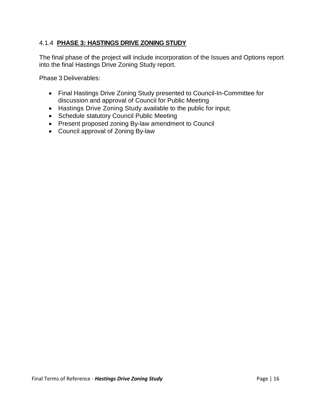#### 4.1.4 **PHASE 3: HASTINGS DRIVE ZONING STUDY**

The final phase of the project will include incorporation of the Issues and Options report into the final Hastings Drive Zoning Study report.

Phase 3 Deliverables:

- Final Hastings Drive Zoning Study presented to Council-In-Committee for discussion and approval of Council for Public Meeting
- Hastings Drive Zoning Study available to the public for input;
- Schedule statutory Council Public Meeting
- Present proposed zoning By-law amendment to Council
- Council approval of Zoning By-law